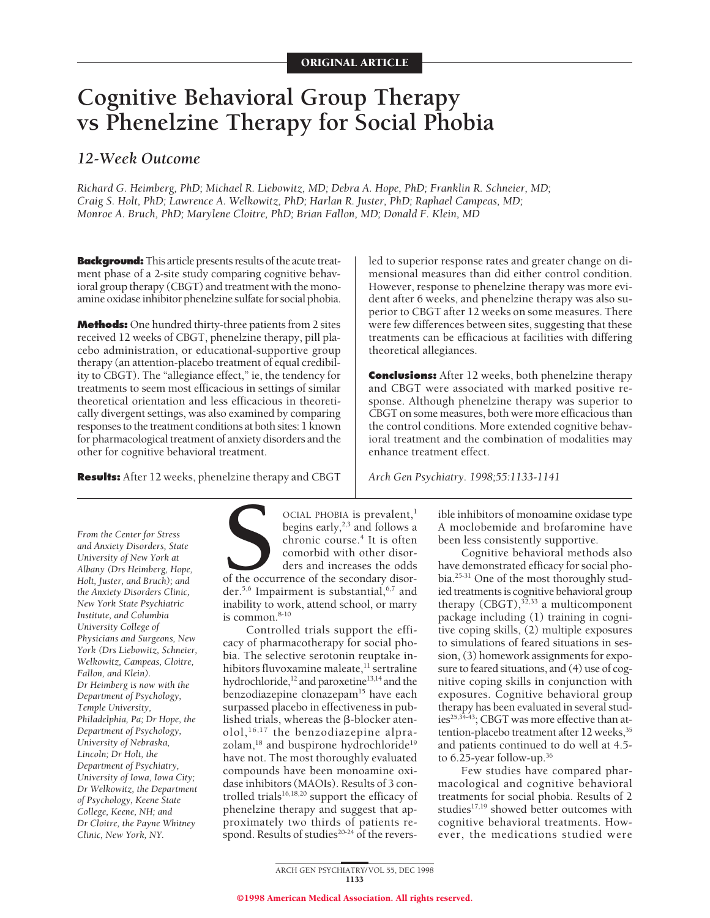# **Cognitive Behavioral Group Therapy vs Phenelzine Therapy for Social Phobia**

# *12-Week Outcome*

*Richard G. Heimberg, PhD; Michael R. Liebowitz, MD; Debra A. Hope, PhD; Franklin R. Schneier, MD; Craig S. Holt, PhD; Lawrence A. Welkowitz, PhD; Harlan R. Juster, PhD; Raphael Campeas, MD; Monroe A. Bruch, PhD; Marylene Cloitre, PhD; Brian Fallon, MD; Donald F. Klein, MD*

**Background:**This article presents results of the acute treatment phase of a 2-site study comparing cognitive behavioral group therapy (CBGT) and treatment with the monoamine oxidase inhibitor phenelzine sulfate for social phobia.

**Methods:** One hundred thirty-three patients from 2 sites received 12 weeks of CBGT, phenelzine therapy, pill placebo administration, or educational-supportive group therapy (an attention-placebo treatment of equal credibility to CBGT). The "allegiance effect," ie, the tendency for treatments to seem most efficacious in settings of similar theoretical orientation and less efficacious in theoretically divergent settings, was also examined by comparing responses to the treatment conditions at both sites: 1 known for pharmacological treatment of anxiety disorders and the other for cognitive behavioral treatment.

**Results:** After 12 weeks, phenelzine therapy and CBGT

led to superior response rates and greater change on dimensional measures than did either control condition. However, response to phenelzine therapy was more evident after 6 weeks, and phenelzine therapy was also superior to CBGT after 12 weeks on some measures. There were few differences between sites, suggesting that these treatments can be efficacious at facilities with differing theoretical allegiances.

**Conclusions:** After 12 weeks, both phenelzine therapy and CBGT were associated with marked positive response. Although phenelzine therapy was superior to CBGT on some measures, both were more efficacious than the control conditions. More extended cognitive behavioral treatment and the combination of modalities may enhance treatment effect.

*Arch Gen Psychiatry. 1998;55:1133-1141*

*From the Center for Stress and Anxiety Disorders, State University of New York at Albany (Drs Heimberg, Hope, Holt, Juster, and Bruch); and the Anxiety Disorders Clinic, New York State Psychiatric Institute, and Columbia University College of Physicians and Surgeons, New York (Drs Liebowitz, Schneier, Welkowitz, Campeas, Cloitre, Fallon, and Klein). Dr Heimberg is now with the Department of Psychology, Temple University, Philadelphia, Pa; Dr Hope, the Department of Psychology, University of Nebraska, Lincoln; Dr Holt, the Department of Psychiatry, University of Iowa, Iowa City; Dr Welkowitz, the Department of Psychology, Keene State College, Keene, NH; and Dr Cloitre, the Payne Whitney Clinic, New York, NY.*

CCIAL PHOBIA is prevalent,<sup>1</sup><br>begins early,<sup>2,3</sup> and follows a<br>chronic course.<sup>4</sup> It is often<br>comorbid with other disor-<br>ders and increases the odds<br>of the occurrence of the secondary disor-<br>der.<sup>5,6</sup> Impairment is substan begins early, $2,3$  and follows a chronic course.<sup>4</sup> It is often comorbid with other disorders and increases the odds of the occurrence of the secondary disorder.<sup>5,6</sup> Impairment is substantial, <sup>6,7</sup> and inability to work, attend school, or marry is common.<sup>8-10</sup>

Controlled trials support the efficacy of pharmacotherapy for social phobia. The selective serotonin reuptake inhibitors fluvoxamine maleate,<sup>11</sup> sertraline hydrochloride,<sup>12</sup> and paroxetine<sup>13,14</sup> and the benzodiazepine clonazepam<sup>15</sup> have each surpassed placebo in effectiveness in published trials, whereas the  $\beta$ -blocker atenolol,16,17 the benzodiazepine alprazolam,<sup>18</sup> and buspirone hydrochloride<sup>19</sup> have not. The most thoroughly evaluated compounds have been monoamine oxidase inhibitors (MAOIs). Results of 3 controlled trials<sup>16,18,20</sup> support the efficacy of phenelzine therapy and suggest that approximately two thirds of patients respond. Results of studies $20-24$  of the reversible inhibitors of monoamine oxidase type A moclobemide and brofaromine have been less consistently supportive.

Cognitive behavioral methods also have demonstrated efficacy for social phobia.25-31 One of the most thoroughly studied treatments is cognitive behavioral group therapy  $(CBGT)$ ,<sup>32,33</sup> a multicomponent package including (1) training in cognitive coping skills, (2) multiple exposures to simulations of feared situations in session, (3) homework assignments for exposure to feared situations, and (4) use of cognitive coping skills in conjunction with exposures. Cognitive behavioral group therapy has been evaluated in several studies<sup>25,34-43</sup>; CBGT was more effective than attention-placebo treatment after 12 weeks,<sup>35</sup> and patients continued to do well at 4.5 to 6.25-year follow-up.36

Few studies have compared pharmacological and cognitive behavioral treatments for social phobia. Results of 2 studies<sup>17,19</sup> showed better outcomes with cognitive behavioral treatments. However, the medications studied were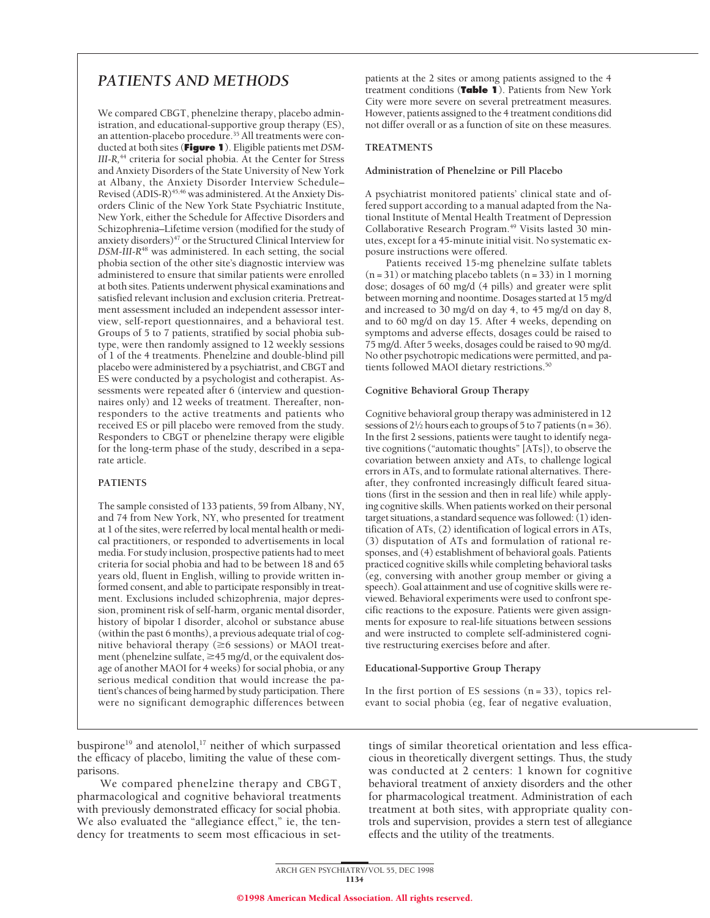# *PATIENTS AND METHODS*

We compared CBGT, phenelzine therapy, placebo administration, and educational-supportive group therapy (ES), an attention-placebo procedure.35 All treatments were conducted at both sites (**Figure 1**). Eligible patients met *DSM-III-R,*<sup>44</sup> criteria for social phobia. At the Center for Stress and Anxiety Disorders of the State University of New York at Albany, the Anxiety Disorder Interview Schedule– Revised (ADIS-R)<sup>45,46</sup> was administered. At the Anxiety Disorders Clinic of the New York State Psychiatric Institute, New York, either the Schedule for Affective Disorders and Schizophrenia–Lifetime version (modified for the study of anxiety disorders)<sup>47</sup> or the Structured Clinical Interview for *DSM-III-R*<sup>48</sup> was administered. In each setting, the social phobia section of the other site's diagnostic interview was administered to ensure that similar patients were enrolled at both sites. Patients underwent physical examinations and satisfied relevant inclusion and exclusion criteria. Pretreatment assessment included an independent assessor interview, self-report questionnaires, and a behavioral test. Groups of 5 to 7 patients, stratified by social phobia subtype, were then randomly assigned to 12 weekly sessions of 1 of the 4 treatments. Phenelzine and double-blind pill placebo were administered by a psychiatrist, and CBGT and ES were conducted by a psychologist and cotherapist. Assessments were repeated after 6 (interview and questionnaires only) and 12 weeks of treatment. Thereafter, nonresponders to the active treatments and patients who received ES or pill placebo were removed from the study. Responders to CBGT or phenelzine therapy were eligible for the long-term phase of the study, described in a separate article.

# **PATIENTS**

The sample consisted of 133 patients, 59 from Albany, NY, and 74 from New York, NY, who presented for treatment at 1 of the sites, were referred by local mental health or medical practitioners, or responded to advertisements in local media. For study inclusion, prospective patients had to meet criteria for social phobia and had to be between 18 and 65 years old, fluent in English, willing to provide written informed consent, and able to participate responsibly in treatment. Exclusions included schizophrenia, major depression, prominent risk of self-harm, organic mental disorder, history of bipolar I disorder, alcohol or substance abuse (within the past 6 months), a previous adequate trial of cognitive behavioral therapy ( $\geq 6$  sessions) or MAOI treatment (phenelzine sulfate,  $\geq$  45 mg/d, or the equivalent dosage of another MAOI for 4 weeks) for social phobia, or any serious medical condition that would increase the patient's chances of being harmed by study participation. There were no significant demographic differences between

buspirone<sup>19</sup> and atenolol,<sup>17</sup> neither of which surpassed the efficacy of placebo, limiting the value of these comparisons.

We compared phenelzine therapy and CBGT, pharmacological and cognitive behavioral treatments with previously demonstrated efficacy for social phobia. We also evaluated the "allegiance effect," ie, the tendency for treatments to seem most efficacious in setpatients at the 2 sites or among patients assigned to the 4 treatment conditions (**Table 1**). Patients from New York City were more severe on several pretreatment measures. However, patients assigned to the 4 treatment conditions did not differ overall or as a function of site on these measures.

## **TREATMENTS**

#### **Administration of Phenelzine or Pill Placebo**

A psychiatrist monitored patients' clinical state and offered support according to a manual adapted from the National Institute of Mental Health Treatment of Depression Collaborative Research Program.<sup>49</sup> Visits lasted 30 minutes, except for a 45-minute initial visit. No systematic exposure instructions were offered.

Patients received 15-mg phenelzine sulfate tablets  $(n = 31)$  or matching placebo tablets  $(n = 33)$  in 1 morning dose; dosages of 60 mg/d (4 pills) and greater were split between morning and noontime. Dosages started at 15 mg/d and increased to 30 mg/d on day 4, to 45 mg/d on day 8, and to 60 mg/d on day 15. After 4 weeks, depending on symptoms and adverse effects, dosages could be raised to 75 mg/d. After 5 weeks, dosages could be raised to 90 mg/d. No other psychotropic medications were permitted, and patients followed MAOI dietary restrictions.<sup>50</sup>

#### **Cognitive Behavioral Group Therapy**

Cognitive behavioral group therapy was administered in 12 sessions of  $2\frac{1}{2}$  hours each to groups of 5 to 7 patients (n = 36). In the first 2 sessions, patients were taught to identify negative cognitions ("automatic thoughts" [ATs]), to observe the covariation between anxiety and ATs, to challenge logical errors in ATs, and to formulate rational alternatives. Thereafter, they confronted increasingly difficult feared situations (first in the session and then in real life) while applying cognitive skills. When patients worked on their personal target situations, a standard sequence was followed: (1) identification of ATs, (2) identification of logical errors in ATs, (3) disputation of ATs and formulation of rational responses, and (4) establishment of behavioral goals. Patients practiced cognitive skills while completing behavioral tasks (eg, conversing with another group member or giving a speech). Goal attainment and use of cognitive skills were reviewed. Behavioral experiments were used to confront specific reactions to the exposure. Patients were given assignments for exposure to real-life situations between sessions and were instructed to complete self-administered cognitive restructuring exercises before and after.

#### **Educational-Supportive Group Therapy**

In the first portion of ES sessions  $(n=33)$ , topics relevant to social phobia (eg, fear of negative evaluation,

tings of similar theoretical orientation and less efficacious in theoretically divergent settings. Thus, the study was conducted at 2 centers: 1 known for cognitive behavioral treatment of anxiety disorders and the other for pharmacological treatment. Administration of each treatment at both sites, with appropriate quality controls and supervision, provides a stern test of allegiance effects and the utility of the treatments.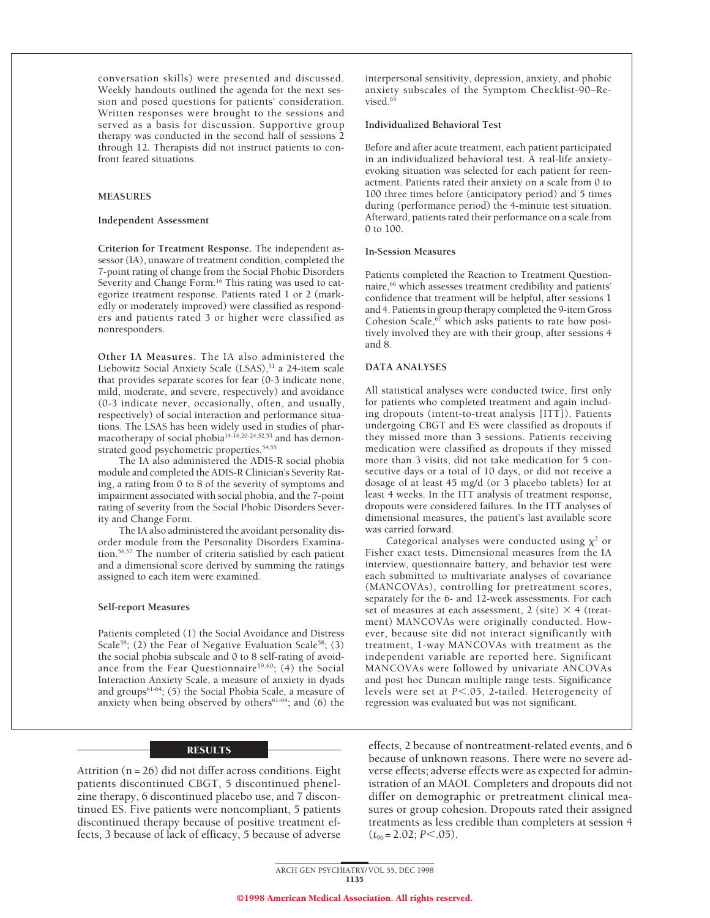conversation skills) were presented and discussed. Weekly handouts outlined the agenda for the next session and posed questions for patients' consideration. Written responses were brought to the sessions and served as a basis for discussion. Supportive group therapy was conducted in the second half of sessions 2 through 12. Therapists did not instruct patients to confront feared situations.

#### **MEASURES**

#### **Independent Assessment**

**Criterion for Treatment Response.** The independent assessor (IA), unaware of treatment condition, completed the 7-point rating of change from the Social Phobic Disorders Severity and Change Form.<sup>16</sup> This rating was used to categorize treatment response. Patients rated 1 or 2 (markedly or moderately improved) were classified as responders and patients rated 3 or higher were classified as nonresponders.

**Other IA Measures.** The IA also administered the Liebowitz Social Anxiety Scale (LSAS),<sup>51</sup> a 24-item scale that provides separate scores for fear (0-3 indicate none, mild, moderate, and severe, respectively) and avoidance (0-3 indicate never, occasionally, often, and usually, respectively) of social interaction and performance situations. The LSAS has been widely used in studies of pharmacotherapy of social phobia14-16,20-24,52,53 and has demonstrated good psychometric properties.<sup>54,55</sup>

The IA also administered the ADIS-R social phobia module and completed the ADIS-R Clinician's Severity Rating, a rating from 0 to 8 of the severity of symptoms and impairment associated with social phobia, and the 7-point rating of severity from the Social Phobic Disorders Severity and Change Form.

The IA also administered the avoidant personality disorder module from the Personality Disorders Examination.56,57 The number of criteria satisfied by each patient and a dimensional score derived by summing the ratings assigned to each item were examined.

#### **Self-report Measures**

Patients completed (1) the Social Avoidance and Distress Scale<sup>58</sup>; (2) the Fear of Negative Evaluation Scale<sup>58</sup>; (3) the social phobia subscale and 0 to 8 self-rating of avoidance from the Fear Questionnaire<sup>59,60</sup>; (4) the Social Interaction Anxiety Scale, a measure of anxiety in dyads and groups $61-64$ ; (5) the Social Phobia Scale, a measure of anxiety when being observed by others $61-64$ ; and  $(6)$  the

#### RESULTS

Attrition  $(n = 26)$  did not differ across conditions. Eight patients discontinued CBGT, 5 discontinued phenelzine therapy, 6 discontinued placebo use, and 7 discontinued ES. Five patients were noncompliant, 5 patients discontinued therapy because of positive treatment effects, 3 because of lack of efficacy, 5 because of adverse

interpersonal sensitivity, depression, anxiety, and phobic anxiety subscales of the Symptom Checklist-90–Revised.<sup>65</sup>

#### **Individualized Behavioral Test**

Before and after acute treatment, each patient participated in an individualized behavioral test. A real-life anxietyevoking situation was selected for each patient for reenactment. Patients rated their anxiety on a scale from 0 to 100 three times before (anticipatory period) and 5 times during (performance period) the 4-minute test situation. Afterward, patients rated their performance on a scale from 0 to 100.

#### **In-Session Measures**

Patients completed the Reaction to Treatment Questionnaire,<sup>66</sup> which assesses treatment credibility and patients' confidence that treatment will be helpful, after sessions 1 and 4. Patients in group therapy completed the 9-item Gross Cohesion Scale,<sup>67</sup> which asks patients to rate how positively involved they are with their group, after sessions 4 and 8.

#### **DATA ANALYSES**

All statistical analyses were conducted twice, first only for patients who completed treatment and again including dropouts (intent-to-treat analysis [ITT]). Patients undergoing CBGT and ES were classified as dropouts if they missed more than 3 sessions. Patients receiving medication were classified as dropouts if they missed more than 3 visits, did not take medication for 5 consecutive days or a total of 10 days, or did not receive a dosage of at least 45 mg/d (or 3 placebo tablets) for at least 4 weeks. In the ITT analysis of treatment response, dropouts were considered failures. In the ITT analyses of dimensional measures, the patient's last available score was carried forward.

Categorical analyses were conducted using  $\chi^2$  or Fisher exact tests. Dimensional measures from the IA interview, questionnaire battery, and behavior test were each submitted to multivariate analyses of covariance (MANCOVAs), controlling for pretreatment scores, separately for the 6- and 12-week assessments. For each set of measures at each assessment, 2 (site)  $\times$  4 (treatment) MANCOVAs were originally conducted. However, because site did not interact significantly with treatment, 1-way MANCOVAs with treatment as the independent variable are reported here. Significant MANCOVAs were followed by univariate ANCOVAs and post hoc Duncan multiple range tests. Significance levels were set at *P*<.05, 2-tailed. Heterogeneity of regression was evaluated but was not significant.

effects, 2 because of nontreatment-related events, and 6 because of unknown reasons. There were no severe adverse effects; adverse effects were as expected for administration of an MAOI. Completers and dropouts did not differ on demographic or pretreatment clinical measures or group cohesion. Dropouts rated their assigned treatments as less credible than completers at session 4  $(t_{96} = 2.02; P \le 0.05)$ .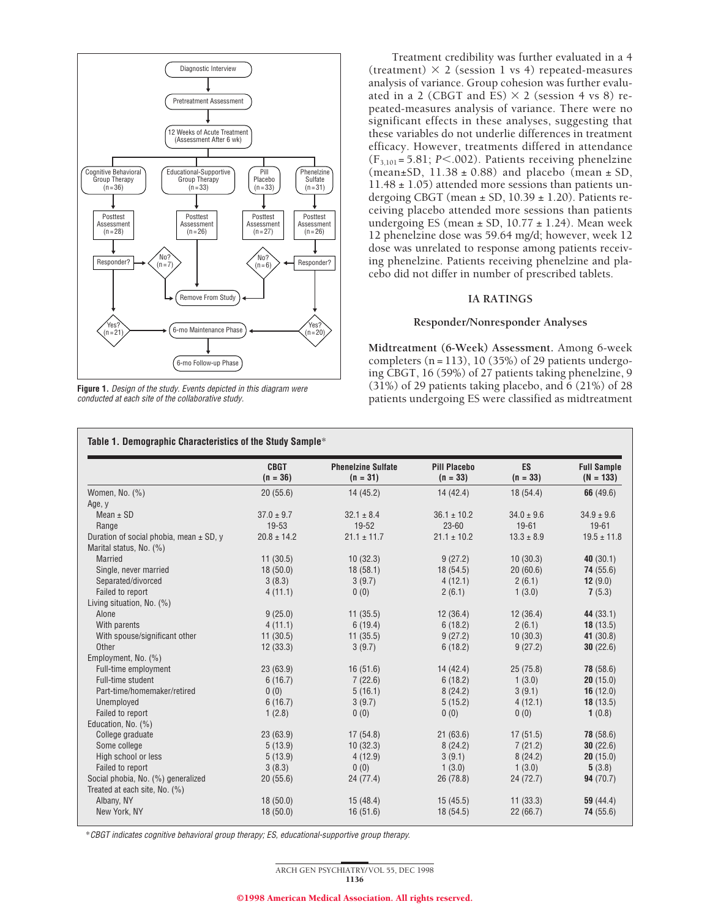

**Figure 1.** Design of the study. Events depicted in this diagram were conducted at each site of the collaborative study.

Treatment credibility was further evaluated in a 4 (treatment)  $\times$  2 (session 1 vs 4) repeated-measures analysis of variance. Group cohesion was further evaluated in a 2 (CBGT and  $ES$ )  $\times$  2 (session 4 vs 8) repeated-measures analysis of variance. There were no significant effects in these analyses, suggesting that these variables do not underlie differences in treatment efficacy. However, treatments differed in attendance  $(F_{3,101} = 5.81; P < .002)$ . Patients receiving phenelzine (mean $\pm$ SD, 11.38  $\pm$  0.88) and placebo (mean  $\pm$  SD,  $11.48 \pm 1.05$ ) attended more sessions than patients undergoing CBGT (mean  $\pm$  SD, 10.39  $\pm$  1.20). Patients receiving placebo attended more sessions than patients undergoing ES (mean  $\pm$  SD, 10.77  $\pm$  1.24). Mean week 12 phenelzine dose was 59.64 mg/d; however, week 12 dose was unrelated to response among patients receiving phenelzine. Patients receiving phenelzine and placebo did not differ in number of prescribed tablets.

#### **IA RATINGS**

#### **Responder/Nonresponder Analyses**

**Midtreatment (6-Week) Assessment.** Among 6-week completers  $(n = 113)$ , 10 (35%) of 29 patients undergoing CBGT, 16 (59%) of 27 patients taking phenelzine, 9 (31%) of 29 patients taking placebo, and 6 (21%) of 28 patients undergoing ES were classified as midtreatment

|                                         | <b>CBGT</b><br>$(n = 36)$ | <b>Phenelzine Sulfate</b><br>$(n = 31)$ | <b>Pill Placebo</b><br>$(n = 33)$ | ES<br>$(n = 33)$ | <b>Full Sample</b><br>$(N = 133)$ |
|-----------------------------------------|---------------------------|-----------------------------------------|-----------------------------------|------------------|-----------------------------------|
| Women, No. (%)                          | 20(55.6)                  | 14(45.2)                                | 14(42.4)                          | 18(54.4)         | 66(49.6)                          |
| Age, y                                  |                           |                                         |                                   |                  |                                   |
| Mean $\pm$ SD                           | $37.0 \pm 9.7$            | $32.1 \pm 8.4$                          | $36.1 \pm 10.2$                   | $34.0 \pm 9.6$   | $34.9 \pm 9.6$                    |
| Range                                   | 19-53                     | 19-52                                   | $23 - 60$                         | $19 - 61$        | $19 - 61$                         |
| Duration of social phobia, mean ± SD, y | $20.8 \pm 14.2$           | $21.1 \pm 11.7$                         | $21.1 \pm 10.2$                   | $13.3 \pm 8.9$   | $19.5 \pm 11.8$                   |
| Marital status, No. (%)                 |                           |                                         |                                   |                  |                                   |
| <b>Married</b>                          | 11(30.5)                  | 10(32.3)                                | 9(27.2)                           | 10(30.3)         | 40(30.1)                          |
| Single, never married                   | 18(50.0)                  | 18(58.1)                                | 18 (54.5)                         | 20(60.6)         | 74(55.6)                          |
| Separated/divorced                      | 3(8.3)                    | 3(9.7)                                  | 4(12.1)                           | 2(6.1)           | 12 $(9.0)$                        |
| Failed to report                        | 4(11.1)                   | 0(0)                                    | 2(6.1)                            | 1(3.0)           | 7(5.3)                            |
| Living situation, No. (%)               |                           |                                         |                                   |                  |                                   |
| Alone                                   | 9(25.0)                   | 11(35.5)                                | 12(36.4)                          | 12(36.4)         | 44 (33.1)                         |
| With parents                            | 4(11.1)                   | 6(19.4)                                 | 6(18.2)                           | 2(6.1)           | 18(13.5)                          |
| With spouse/significant other           | 11(30.5)                  | 11(35.5)                                | 9(27.2)                           | 10(30.3)         | 41 (30.8)                         |
| Other                                   | 12(33.3)                  | 3(9.7)                                  | 6(18.2)                           | 9(27.2)          | 30(22.6)                          |
| Employment, No. (%)                     |                           |                                         |                                   |                  |                                   |
| Full-time employment                    | 23(63.9)                  | 16(51.6)                                | 14(42.4)                          | 25(75.8)         | 78(58.6)                          |
| Full-time student                       | 6(16.7)                   | 7(22.6)                                 | 6(18.2)                           | 1(3.0)           | 20(15.0)                          |
| Part-time/homemaker/retired             | 0(0)                      | 5(16.1)                                 | 8(24.2)                           | 3(9.1)           | 16(12.0)                          |
| Unemployed                              | 6(16.7)                   | 3(9.7)                                  | 5(15.2)                           | 4(12.1)          | 18(13.5)                          |
| Failed to report                        | 1(2.8)                    | 0(0)                                    | 0(0)                              | 0(0)             | 1(0.8)                            |
| Education, No. (%)                      |                           |                                         |                                   |                  |                                   |
| College graduate                        | 23(63.9)                  | 17(54.8)                                | 21(63.6)                          | 17(51.5)         | 78 (58.6)                         |
| Some college                            | 5(13.9)                   | 10(32.3)                                | 8(24.2)                           | 7(21.2)          | 30(22.6)                          |
| High school or less                     | 5(13.9)                   | 4(12.9)                                 | 3(9.1)                            | 8(24.2)          | 20(15.0)                          |
| Failed to report                        | 3(8.3)                    | 0(0)                                    | 1(3.0)                            | 1(3.0)           | 5(3.8)                            |
| Social phobia, No. (%) generalized      | 20(55.6)                  | 24 (77.4)                               | 26 (78.8)                         | 24(72.7)         | 94(70.7)                          |
| Treated at each site, No. (%)           |                           |                                         |                                   |                  |                                   |
| Albany, NY                              | 18(50.0)                  | 15(48.4)                                | 15(45.5)                          | 11(33.3)         | 59 $(44.4)$                       |
| New York, NY                            | 18(50.0)                  | 16(51.6)                                | 18 (54.5)                         | 22(66.7)         | 74(55.6)                          |

\*CBGT indicates cognitive behavioral group therapy; ES, educational-supportive group therapy.

ARCH GEN PSYCHIATRY/ VOL 55, DEC 1998 1136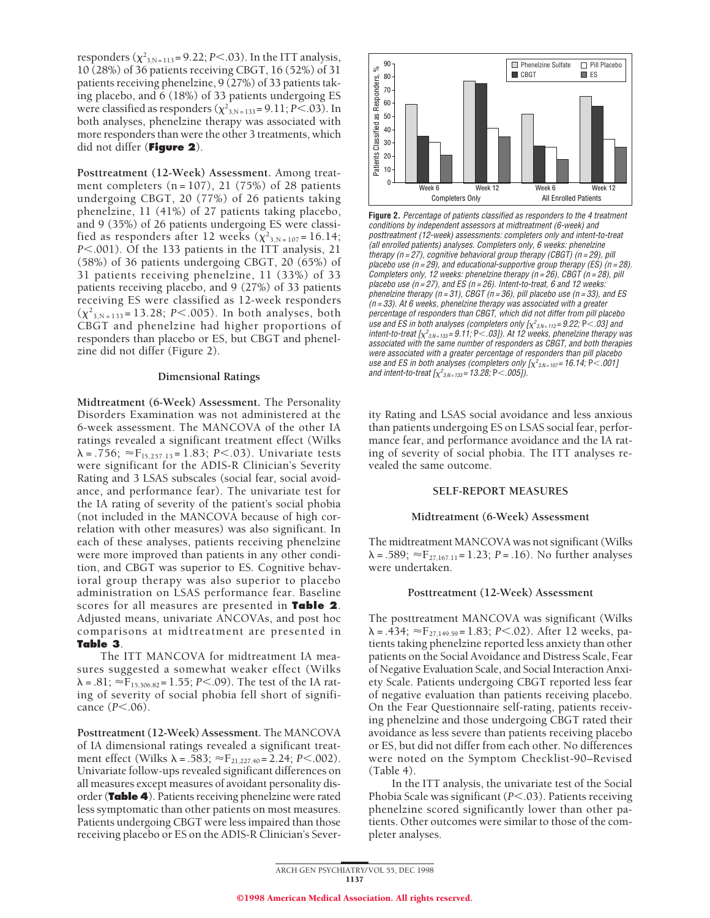responders ( $\chi^2_{3,N=113}$  = 9.22; *P*<.03). In the ITT analysis, 10 (28%) of 36 patients receiving CBGT, 16 (52%) of 31 patients receiving phenelzine, 9 (27%) of 33 patients taking placebo, and 6 (18%) of 33 patients undergoing ES were classified as responders  $(\chi^2_{3,N=133}=9.11; P<.03)$ . In both analyses, phenelzine therapy was associated with more responders than were the other 3 treatments, which did not differ (**Figure 2**).

**Posttreatment (12-Week) Assessment.** Among treatment completers  $(n = 107)$ , 21 (75%) of 28 patients undergoing CBGT, 20 (77%) of 26 patients taking phenelzine, 11 (41%) of 27 patients taking placebo, and 9 (35%) of 26 patients undergoing ES were classified as responders after 12 weeks  $(\chi^2_{3, N=107} = 16.14;$ *P*<.001). Of the 133 patients in the ITT analysis, 21 (58%) of 36 patients undergoing CBGT, 20 (65%) of 31 patients receiving phenelzine, 11 (33%) of 33 patients receiving placebo, and 9 (27%) of 33 patients receiving ES were classified as 12-week responders  $(\chi^2_{3,N=133} = 13.28; P<.005)$ . In both analyses, both CBGT and phenelzine had higher proportions of responders than placebo or ES, but CBGT and phenelzine did not differ (Figure 2).

### **Dimensional Ratings**

**Midtreatment (6-Week) Assessment.** The Personality Disorders Examination was not administered at the 6-week assessment. The MANCOVA of the other IA ratings revealed a significant treatment effect (Wilks  $\lambda$  = .756;  $\approx$  F<sub>15,257,13</sub> = 1.83; *P*<.03). Univariate tests were significant for the ADIS-R Clinician's Severity Rating and 3 LSAS subscales (social fear, social avoidance, and performance fear). The univariate test for the IA rating of severity of the patient's social phobia (not included in the MANCOVA because of high correlation with other measures) was also significant. In each of these analyses, patients receiving phenelzine were more improved than patients in any other condition, and CBGT was superior to ES. Cognitive behavioral group therapy was also superior to placebo administration on LSAS performance fear. Baseline scores for all measures are presented in **Table 2**. Adjusted means, univariate ANCOVAs, and post hoc comparisons at midtreatment are presented in **Table 3**.

The ITT MANCOVA for midtreatment IA measures suggested a somewhat weaker effect (Wilks  $\lambda = .81$ ;  $\approx$  F<sub>15,306.82</sub> = 1.55; *P*<.09). The test of the IA rating of severity of social phobia fell short of significance  $(P<.06)$ .

**Posttreatment (12-Week) Assessment.** The MANCOVA of IA dimensional ratings revealed a significant treatment effect (Wilks  $\lambda = .583$ ;  $\approx F_{21,227.40} = 2.24$ ; *P*<.002). Univariate follow-ups revealed significant differences on all measures except measures of avoidant personality disorder (**Table 4**). Patients receiving phenelzine were rated less symptomatic than other patients on most measures. Patients undergoing CBGT were less impaired than those receiving placebo or ES on the ADIS-R Clinician's Sever-



**Figure 2.** Percentage of patients classified as responders to the 4 treatment conditions by independent assessors at midtreatment (6-week) and posttreatment (12-week) assessments: completers only and intent-to-treat (all enrolled patients) analyses. Completers only, 6 weeks: phenelzine therapy ( $n = 27$ ), cognitive behavioral group therapy (CBGT) ( $n = 29$ ), pill placebo use ( $n = 29$ ), and educational-supportive group therapy (ES) ( $n = 28$ ). Completers only, 12 weeks: phenelzine therapy ( $n = 26$ ), CBGT ( $n = 28$ ), pill placebo use ( $n = 27$ ), and ES ( $n = 26$ ). Intent-to-treat, 6 and 12 weeks: phenelzine therapy ( $n = 31$ ), CBGT ( $n = 36$ ), pill placebo use ( $n = 33$ ), and ES  $(n = 33)$ . At 6 weeks, phenelzine therapy was associated with a greater percentage of responders than CBGT, which did not differ from pill placebo use and ES in both analyses (completers only [ $\chi^2_{\,3,N=113}$ = 9.22; <code>P $<$ .03]</code> and intent-to-treat [ $\chi^2_{3.N=133}$ = 9.11; P<.03]). At 12 weeks, phenelzine therapy was associated with the same number of responders as CBGT, and both therapies were associated with <sup>a</sup> greater percentage of responders than pill placebo use and ES in both analyses (completers only [ $\chi^2_{\,3,N=107}$ = 16.14; <code>P $<$ .001]</code> and intent-to-treat [ $\chi^2_{\,3.N=133}$ = 13.28; P $<$ .005]).

ity Rating and LSAS social avoidance and less anxious than patients undergoing ES on LSAS social fear, performance fear, and performance avoidance and the IA rating of severity of social phobia. The ITT analyses revealed the same outcome.

#### **SELF-REPORT MEASURES**

#### **Midtreatment (6-Week) Assessment**

The midtreatment MANCOVA was not significant (Wilks  $\lambda = .589$ ;  $\approx$  F<sub>27,167,11</sub> = 1.23; *P* = .16). No further analyses were undertaken.

#### **Posttreatment (12-Week) Assessment**

The posttreatment MANCOVA was significant (Wilks  $\lambda = .434$ ;  $\approx$ F<sub>27,149.59</sub> = 1.83; *P*<.02). After 12 weeks, patients taking phenelzine reported less anxiety than other patients on the Social Avoidance and Distress Scale, Fear of Negative Evaluation Scale, and Social Interaction Anxiety Scale. Patients undergoing CBGT reported less fear of negative evaluation than patients receiving placebo. On the Fear Questionnaire self-rating, patients receiving phenelzine and those undergoing CBGT rated their avoidance as less severe than patients receiving placebo or ES, but did not differ from each other. No differences were noted on the Symptom Checklist-90–Revised (Table 4).

In the ITT analysis, the univariate test of the Social Phobia Scale was significant (*P*<.03). Patients receiving phenelzine scored significantly lower than other patients. Other outcomes were similar to those of the completer analyses.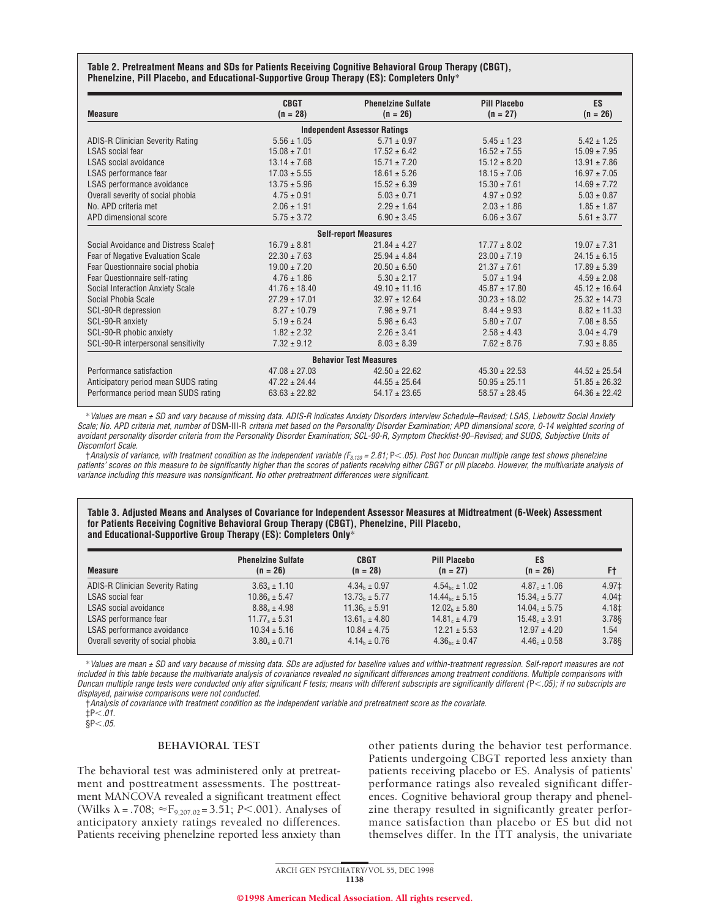**Table 2. Pretreatment Means and SDs for Patients Receiving Cognitive Behavioral Group Therapy (CBGT), Phenelzine, Pill Placebo, and Educational-Supportive Group Therapy (ES): Completers Only**\*

| <b>Measure</b>                          | <b>CBGT</b><br>$(n = 28)$ | <b>Phenelzine Sulfate</b><br>$(n = 26)$ | <b>Pill Placebo</b><br>$(n = 27)$ | <b>ES</b><br>$(n = 26)$ |
|-----------------------------------------|---------------------------|-----------------------------------------|-----------------------------------|-------------------------|
|                                         |                           | <b>Independent Assessor Ratings</b>     |                                   |                         |
| <b>ADIS-R Clinician Severity Rating</b> | $5.56 \pm 1.05$           | $5.71 \pm 0.97$                         | $5.45 \pm 1.23$                   | $5.42 \pm 1.25$         |
| <b>LSAS</b> social fear                 | $15.08 \pm 7.01$          | $17.52 \pm 6.42$                        | $16.52 \pm 7.55$                  | $15.09 \pm 7.95$        |
| LSAS social avoidance                   | $13.14 \pm 7.68$          | $15.71 \pm 7.20$                        | $15.12 \pm 8.20$                  | $13.91 \pm 7.86$        |
| LSAS performance fear                   | $17.03 \pm 5.55$          | $18.61 \pm 5.26$                        | $18.15 \pm 7.06$                  | $16.97 \pm 7.05$        |
| LSAS performance avoidance              | $13.75 \pm 5.96$          | $15.52 \pm 6.39$                        | $15.30 \pm 7.61$                  | $14.69 \pm 7.72$        |
| Overall severity of social phobia       | $4.75 \pm 0.91$           | $5.03 \pm 0.71$                         | $4.97 \pm 0.92$                   | $5.03 \pm 0.87$         |
| No. APD criteria met                    | $2.06 \pm 1.91$           | $2.29 \pm 1.64$                         | $2.03 \pm 1.86$                   | $1.85 \pm 1.87$         |
| APD dimensional score                   | $5.75 \pm 3.72$           | $6.90 \pm 3.45$                         | $6.06 \pm 3.67$                   | $5.61 \pm 3.77$         |
|                                         |                           | <b>Self-report Measures</b>             |                                   |                         |
| Social Avoidance and Distress Scale†    | $16.79 \pm 8.81$          | $21.84 \pm 4.27$                        | $17.77 \pm 8.02$                  | $19.07 \pm 7.31$        |
| Fear of Negative Evaluation Scale       | $22.30 \pm 7.63$          | $25.94 \pm 4.84$                        | $23.00 \pm 7.19$                  | $24.15 \pm 6.15$        |
| Fear Questionnaire social phobia        | $19.00 \pm 7.20$          | $20.50 \pm 6.50$                        | $21.37 \pm 7.61$                  | $17.89 \pm 5.39$        |
| Fear Questionnaire self-rating          | $4.76 \pm 1.86$           | $5.30 \pm 2.17$                         | $5.07 \pm 1.94$                   | $4.59 \pm 2.08$         |
| Social Interaction Anxiety Scale        | $41.76 \pm 18.40$         | $49.10 \pm 11.16$                       | $45.87 \pm 17.80$                 | $45.12 \pm 16.64$       |
| Social Phobia Scale                     | $27.29 \pm 17.01$         | $32.97 \pm 12.64$                       | $30.23 \pm 18.02$                 | $25.32 \pm 14.73$       |
| SCL-90-R depression                     | $8.27 \pm 10.79$          | $7.98 \pm 9.71$                         | $8.44 \pm 9.93$                   | $8.82 \pm 11.33$        |
| SCL-90-R anxiety                        | $5.19 \pm 6.24$           | $5.98 \pm 6.43$                         | $5.80 \pm 7.07$                   | $7.08 \pm 8.55$         |
| SCL-90-R phobic anxiety                 | $1.82 \pm 2.32$           | $2.26 \pm 3.41$                         | $2.58 \pm 4.43$                   | $3.04 \pm 4.79$         |
| SCL-90-R interpersonal sensitivity      | $7.32 \pm 9.12$           | $8.03 \pm 8.39$                         | $7.62 \pm 8.76$                   | $7.93 \pm 8.85$         |
|                                         |                           | <b>Behavior Test Measures</b>           |                                   |                         |
| Performance satisfaction                | $47.08 \pm 27.03$         | $42.50 \pm 22.62$                       | $45.30 \pm 22.53$                 | $44.52 \pm 25.54$       |
| Anticipatory period mean SUDS rating    | $47.22 \pm 24.44$         | $44.55 \pm 25.64$                       | $50.95 \pm 25.11$                 | $51.85 \pm 26.32$       |
| Performance period mean SUDS rating     | $63.63 \pm 22.82$         | $54.17 \pm 23.65$                       | $58.57 \pm 28.45$                 | $64.36 \pm 22.42$       |

\*Values are mean <sup>±</sup> SD and vary because of missing data. ADIS-R indicates Anxiety Disorders Interview Schedule–Revised; LSAS, Liebowitz Social Anxiety Scale; No. APD criteria met, number of DSM-III-R criteria met based on the Personality Disorder Examination; APD dimensional score, 0-14 weighted scoring of avoidant personality disorder criteria from the Personality Disorder Examination; SCL-90-R, Symptom Checklist-90–Revised; and SUDS, Subjective Units of Discomfort Scale.

†Analysis of variance, with treatment condition as the independent variable ( $F_{3,120} = 2.81$ ; P<.05). Post hoc Duncan multiple range test shows phenelzine patients' scores on this measure to be significantly higher than the scores of patients receiving either CBGT or pill placebo. However, the multivariate analysis of variance including this measure was nonsignificant. No other pretreatment differences were significant.

**Table 3. Adjusted Means and Analyses of Covariance for Independent Assessor Measures at Midtreatment (6-Week) Assessment for Patients Receiving Cognitive Behavioral Group Therapy (CBGT), Phenelzine, Pill Placebo, and Educational-Supportive Group Therapy (ES): Completers Only**\*

| <b>Measure</b>                          | <b>Pheneizine Sulfate</b><br>$(n = 26)$ | <b>CBGT</b><br>$(n = 28)$ | Pill Placebo<br>$(n = 27)$ | ES<br>$(n = 26)$    | F†                |
|-----------------------------------------|-----------------------------------------|---------------------------|----------------------------|---------------------|-------------------|
| <b>ADIS-R Clinician Severity Rating</b> | $3.63_{\circ} \pm 1.10$                 | $4.34b \pm 0.97$          | $4.54he \pm 1.02$          | $4.87_{c} \pm 1.06$ | 4.97‡             |
| <b>LSAS</b> social fear                 | $10.86_a \pm 5.47$                      | $13.73_h \pm 5.77$        | $14.44_{he}$ ± 5.15        | $15.34. \pm 5.77$   | 4.04‡             |
| <b>LSAS</b> social avoidance            | $8.88_{\circ} \pm 4.98$                 | $11.36_h \pm 5.91$        | $12.02_h \pm 5.80$         | $14.04c \pm 5.75$   | 4.18 <sup>±</sup> |
| LSAS performance fear                   | $11.77a \pm 5.31$                       | $13.61_h \pm 4.80$        | $14.81 + 4.79$             | $15.48 + 3.91$      | 3.788             |
| LSAS performance avoidance              | $10.34 \pm 5.16$                        | $10.84 \pm 4.75$          | $12.21 \pm 5.53$           | $12.97 \pm 4.20$    | 1.54              |
| Overall severity of social phobia       | $3.80_{\rm a} \pm 0.71$                 | $4.14_h \pm 0.76$         | $4.36_{he} \pm 0.47$       | $4.46_{c} \pm 0.58$ | 3.788             |

\*Values are mean <sup>±</sup> SD and vary because of missing data. SDs are adjusted for baseline values and within-treatment regression. Self-report measures are not included in this table because the multivariate analysis of covariance revealed no significant differences among treatment conditions. Multiple comparisons with Duncan multiple range tests were conducted only after significant F tests; means with different subscripts are significantly different (P<.05); if no subscripts are displayed, pairwise comparisons were not conducted.

†Analysis of covariance with treatment condition as the independent variable and pretreatment score as the covariate.

 $\frac{1}{2}P < 0.01$ .  $\S P < .05.$ 

#### **BEHAVIORAL TEST**

The behavioral test was administered only at pretreatment and posttreatment assessments. The posttreatment MANCOVA revealed a significant treatment effect (Wilks  $\lambda = .708$ ;  $\approx$  F<sub>9,207.02</sub> = 3.51; *P*<.001). Analyses of anticipatory anxiety ratings revealed no differences. Patients receiving phenelzine reported less anxiety than

other patients during the behavior test performance. Patients undergoing CBGT reported less anxiety than patients receiving placebo or ES. Analysis of patients' performance ratings also revealed significant differences. Cognitive behavioral group therapy and phenelzine therapy resulted in significantly greater performance satisfaction than placebo or ES but did not themselves differ. In the ITT analysis, the univariate

ARCH GEN PSYCHIATRY/ VOL 55, DEC 1998 1138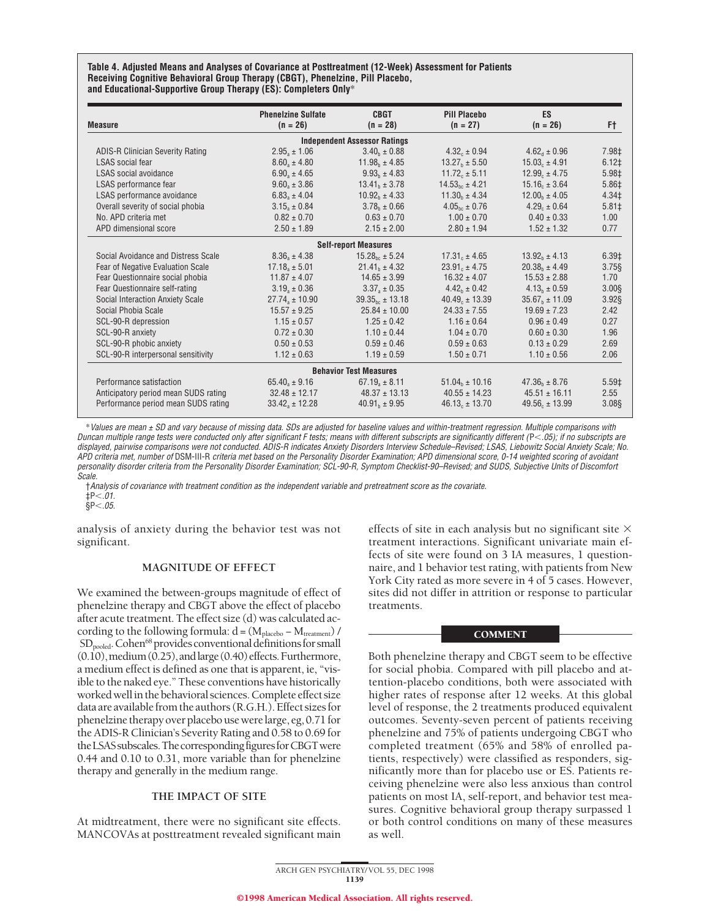**Table 4. Adjusted Means and Analyses of Covariance at Posttreatment (12-Week) Assessment for Patients Receiving Cognitive Behavioral Group Therapy (CBGT), Phenelzine, Pill Placebo, and Educational-Supportive Group Therapy (ES): Completers Only**\*

| <b>Measure</b>                          | <b>Phenelzine Sulfate</b><br>$(n = 26)$ | <b>CBGT</b><br>$(n = 28)$           | <b>Pill Placebo</b><br>$(n = 27)$ | <b>ES</b><br>$(n = 26)$ | F†         |
|-----------------------------------------|-----------------------------------------|-------------------------------------|-----------------------------------|-------------------------|------------|
|                                         |                                         | <b>Independent Assessor Ratings</b> |                                   |                         |            |
| <b>ADIS-R Clinician Severity Rating</b> | $2.95_a \pm 1.06$                       | $3.40b \pm 0.88$                    | $4.32c \pm 0.94$                  | $4.62_{\rm d} \pm 0.96$ | 7.98‡      |
| <b>LSAS</b> social fear                 | $8.60_a \pm 4.80$                       | $11.98h \pm 4.85$                   | $13.27_h \pm 5.50$                | $15.03c \pm 4.91$       | $6.12 \pm$ |
| LSAS social avoidance                   | $6.90_a \pm 4.65$                       | $9.93_h \pm 4.83$                   | $11.72c \pm 5.11$                 | $12.99c \pm 4.75$       | 5.98‡      |
| LSAS performance fear                   | $9.60_a \pm 3.86$                       | $13.41h \pm 3.78$                   | $14.53_{\text{bc}} \pm 4.21$      | $15.16 + 3.64$          | 5.86‡      |
| LSAS performance avoidance              | $6.83_a \pm 4.04$                       | $10.92b \pm 4.33$                   | $11.30b \pm 4.34$                 | $12.00b \pm 4.05$       | 4.34‡      |
| Overall severity of social phobia       | $3.15_a \pm 0.84$                       | $3.78b \pm 0.66$                    | $4.05_{he} \pm 0.76$              | $4.29c \pm 0.64$        | $5.81 \pm$ |
| No. APD criteria met                    | $0.82 \pm 0.70$                         | $0.63 \pm 0.70$                     | $1.00 \pm 0.70$                   | $0.40 \pm 0.33$         | 1.00       |
| APD dimensional score                   | $2.50 \pm 1.89$                         | $2.15 \pm 2.00$                     | $2.80 \pm 1.94$                   | $1.52 \pm 1.32$         | 0.77       |
|                                         |                                         | <b>Self-report Measures</b>         |                                   |                         |            |
| Social Avoidance and Distress Scale     | $8.36_a \pm 4.38$                       | $15.28_{\text{hc}} \pm 5.24$        | $17.31c \pm 4.65$                 | $13.92b \pm 4.13$       | 6.39‡      |
| Fear of Negative Evaluation Scale       | $17.18a \pm 5.01$                       | $21.41h \pm 4.32$                   | $23.91 + 4.75$                    | $20.38b \pm 4.49$       | $3.75$ §   |
| Fear Questionnaire social phobia        | $11.87 \pm 4.07$                        | $14.65 \pm 3.99$                    | $16.32 \pm 4.07$                  | $15.53 \pm 2.88$        | 1.70       |
| Fear Questionnaire self-rating          | $3.19_a \pm 0.36$                       | $3.371 \pm 0.35$                    | $4.42b \pm 0.42$                  | $4.13b \pm 0.59$        | 3.008      |
| Social Interaction Anxiety Scale        | $27.74_a \pm 10.90$                     | $39.35_{\text{hc}}$ ± 13.18         | $40.49. \pm 13.39$                | $35.67b \pm 11.09$      | $3.92$ §   |
| Social Phobia Scale                     | $15.57 \pm 9.25$                        | $25.84 \pm 10.00$                   | $24.33 \pm 7.55$                  | $19.69 \pm 7.23$        | 2.42       |
| SCL-90-R depression                     | $1.15 \pm 0.57$                         | $1.25 \pm 0.42$                     | $1.16 \pm 0.64$                   | $0.96 \pm 0.49$         | 0.27       |
| SCL-90-R anxiety                        | $0.72 \pm 0.30$                         | $1.10 \pm 0.44$                     | $1.04 \pm 0.70$                   | $0.60 \pm 0.30$         | 1.96       |
| SCL-90-R phobic anxiety                 | $0.50 \pm 0.53$                         | $0.59 \pm 0.46$                     | $0.59 \pm 0.63$                   | $0.13 \pm 0.29$         | 2.69       |
| SCL-90-R interpersonal sensitivity      | $1.12 \pm 0.63$                         | $1.19 \pm 0.59$                     | $1.50 \pm 0.71$                   | $1.10 \pm 0.56$         | 2.06       |
|                                         |                                         | <b>Behavior Test Measures</b>       |                                   |                         |            |
| Performance satisfaction                | $65.40_a \pm 9.16$                      | $67.19_a \pm 8.11$                  | $51.04_h \pm 10.16$               | $47.36_h \pm 8.76$      | 5.59‡      |
| Anticipatory period mean SUDS rating    | $32.48 \pm 12.17$                       | $48.37 \pm 13.13$                   | $40.55 \pm 14.23$                 | $45.51 \pm 16.11$       | 2.55       |
| Performance period mean SUDS rating     | $33.42_a \pm 12.28$                     | $40.91h \pm 9.95$                   | $46.13c \pm 13.70$                | $49.56 + 13.99$         | 3.08§      |

\*Values are mean <sup>±</sup> SD and vary because of missing data. SDs are adjusted for baseline values and within-treatment regression. Multiple comparisons with Duncan multiple range tests were conducted only after significant F tests; means with different subscripts are significantly different (P<.05); if no subscripts are displayed, pairwise comparisons were not conducted. ADIS-R indicates Anxiety Disorders Interview Schedule–Revised; LSAS, Liebowitz Social Anxiety Scale; No. APD criteria met, number of DSM-III-R criteria met based on the Personality Disorder Examination; APD dimensional score, 0-14 weighted scoring of avoidant personality disorder criteria from the Personality Disorder Examination; SCL-90-R, Symptom Checklist-90–Revised; and SUDS, Subjective Units of Discomfort Scale.

†Analysis of covariance with treatment condition as the independent variable and pretreatment score as the covariate.  $\frac{1}{2}P < .01$ .

 $$P<.05.$ 

analysis of anxiety during the behavior test was not significant.

# **MAGNITUDE OF EFFECT**

We examined the between-groups magnitude of effect of phenelzine therapy and CBGT above the effect of placebo after acute treatment. The effect size (d) was calculated according to the following formula:  $d = (M_{\text{placebo}} - M_{\text{treatment}})$  / SD<sub>pooled</sub>. Cohen<sup>68</sup> provides conventional definitions for small  $(0.\overline{10})$ , medium $(0.25)$ , and large $(0.40)$  effects. Furthermore, a medium effect is defined as one that is apparent, ie, "visible to the naked eye." These conventions have historically worked well in the behavioral sciences. Complete effect size data are available from the authors (R.G.H.). Effect sizes for phenelzine therapy over placebo use were large, eg, 0.71 for the ADIS-R Clinician's Severity Rating and 0.58 to 0.69 for the LSAS subscales. The corresponding figures for CBGT were 0.44 and 0.10 to 0.31, more variable than for phenelzine therapy and generally in the medium range.

# **THE IMPACT OF SITE**

At midtreatment, there were no significant site effects. MANCOVAs at posttreatment revealed significant main

effects of site in each analysis but no significant site  $\times$ treatment interactions. Significant univariate main effects of site were found on 3 IA measures, 1 questionnaire, and 1 behavior test rating, with patients from New York City rated as more severe in 4 of 5 cases. However, sites did not differ in attrition or response to particular treatments.

# **COMMENT**

Both phenelzine therapy and CBGT seem to be effective for social phobia. Compared with pill placebo and attention-placebo conditions, both were associated with higher rates of response after 12 weeks. At this global level of response, the 2 treatments produced equivalent outcomes. Seventy-seven percent of patients receiving phenelzine and 75% of patients undergoing CBGT who completed treatment (65% and 58% of enrolled patients, respectively) were classified as responders, significantly more than for placebo use or ES. Patients receiving phenelzine were also less anxious than control patients on most IA, self-report, and behavior test measures. Cognitive behavioral group therapy surpassed 1 or both control conditions on many of these measures as well.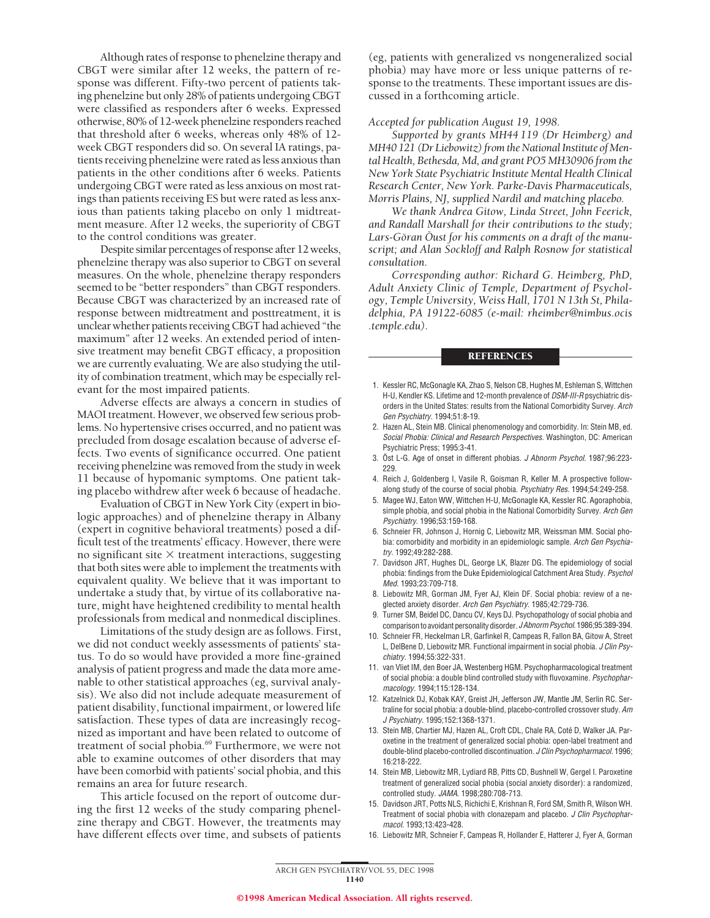Although rates of response to phenelzine therapy and CBGT were similar after 12 weeks, the pattern of response was different. Fifty-two percent of patients taking phenelzine but only 28% of patients undergoing CBGT were classified as responders after 6 weeks. Expressed otherwise, 80% of 12-week phenelzine responders reached that threshold after 6 weeks, whereas only 48% of 12 week CBGT responders did so. On several IA ratings, patients receiving phenelzine were rated as less anxious than patients in the other conditions after 6 weeks. Patients undergoing CBGT were rated as less anxious on most ratings than patients receiving ES but were rated as less anxious than patients taking placebo on only 1 midtreatment measure. After 12 weeks, the superiority of CBGT to the control conditions was greater.

Despite similar percentages of response after 12 weeks, phenelzine therapy was also superior to CBGT on several measures. On the whole, phenelzine therapy responders seemed to be "better responders" than CBGT responders. Because CBGT was characterized by an increased rate of response between midtreatment and posttreatment, it is unclear whether patients receiving CBGT had achieved "the maximum" after 12 weeks. An extended period of intensive treatment may benefit CBGT efficacy, a proposition we are currently evaluating. We are also studying the utility of combination treatment, which may be especially relevant for the most impaired patients.

Adverse effects are always a concern in studies of MAOI treatment. However, we observed few serious problems. No hypertensive crises occurred, and no patient was precluded from dosage escalation because of adverse effects. Two events of significance occurred. One patient receiving phenelzine was removed from the study in week 11 because of hypomanic symptoms. One patient taking placebo withdrew after week 6 because of headache.

Evaluation of CBGT in New York City (expert in biologic approaches) and of phenelzine therapy in Albany (expert in cognitive behavioral treatments) posed a difficult test of the treatments' efficacy. However, there were no significant site  $\times$  treatment interactions, suggesting that both sites were able to implement the treatments with equivalent quality. We believe that it was important to undertake a study that, by virtue of its collaborative nature, might have heightened credibility to mental health professionals from medical and nonmedical disciplines.

Limitations of the study design are as follows. First, we did not conduct weekly assessments of patients' status. To do so would have provided a more fine-grained analysis of patient progress and made the data more amenable to other statistical approaches (eg, survival analysis). We also did not include adequate measurement of patient disability, functional impairment, or lowered life satisfaction. These types of data are increasingly recognized as important and have been related to outcome of treatment of social phobia.69 Furthermore, we were not able to examine outcomes of other disorders that may have been comorbid with patients' social phobia, and this remains an area for future research.

This article focused on the report of outcome during the first 12 weeks of the study comparing phenelzine therapy and CBGT. However, the treatments may have different effects over time, and subsets of patients

(eg, patients with generalized vs nongeneralized social phobia) may have more or less unique patterns of response to the treatments. These important issues are discussed in a forthcoming article.

#### *Accepted for publication August 19, 1998.*

*Supported by grants MH44 119 (Dr Heimberg) and MH40 121 (Dr Liebowitz) from the National Institute of Mental Health, Bethesda, Md, and grant PO5 MH30906 from the New York State Psychiatric Institute Mental Health Clinical Research Center, New York. Parke-Davis Pharmaceuticals, Morris Plains, NJ, supplied Nardil and matching placebo.*

*We thank Andrea Gitow, Linda Street, John Feerick, and Randall Marshall for their contributions to the study;* Lars-Göran Oust for his comments on a draft of the manu*script; and Alan Sockloff and Ralph Rosnow for statistical consultation.*

*Corresponding author: Richard G. Heimberg, PhD, Adult Anxiety Clinic of Temple, Department of Psychology, Temple University, Weiss Hall, 1701 N 13th St, Philadelphia, PA 19122-6085 (e-mail: rheimber@nimbus.ocis .temple.edu).*

#### **REFERENCES**

- 1. Kessler RC, McGonagle KA, Zhao S, Nelson CB, Hughes M, Eshleman S, Wittchen H-U, Kendler KS. Lifetime and 12-month prevalence of DSM-III-R psychiatric disorders in the United States: results from the National Comorbidity Survey. Arch Gen Psychiatry. 1994;51:8-19.
- 2. Hazen AL, Stein MB. Clinical phenomenology and comorbidity. In: Stein MB, ed. Social Phobia: Clinical and Research Perspectives. Washington, DC: American Psychiatric Press; 1995:3-41.
- 3. Öst L-G. Age of onset in different phobias. J Abnorm Psychol. 1987;96:223-229.
- 4. Reich J, Goldenberg I, Vasile R, Goisman R, Keller M. A prospective followalong study of the course of social phobia. Psychiatry Res. 1994;54:249-258.
- 5. Magee WJ, Eaton WW, Wittchen H-U, McGonagle KA, Kessler RC. Agoraphobia, simple phobia, and social phobia in the National Comorbidity Survey. Arch Gen Psychiatry. 1996;53:159-168.
- 6. Schneier FR, Johnson J, Hornig C, Liebowitz MR, Weissman MM. Social phobia: comorbidity and morbidity in an epidemiologic sample. Arch Gen Psychiatry. 1992;49:282-288.
- 7. Davidson JRT, Hughes DL, George LK, Blazer DG. The epidemiology of social phobia: findings from the Duke Epidemiological Catchment Area Study. Psychol Med. 1993;23:709-718.
- 8. Liebowitz MR, Gorman JM, Fyer AJ, Klein DF. Social phobia: review of a neglected anxiety disorder. Arch Gen Psychiatry. 1985;42:729-736.
- 9. Turner SM, Beidel DC, Dancu CV, Keys DJ. Psychopathology of social phobia and comparison to avoidant personality disorder. J Abnorm Psychol. 1986;95:389-394.
- 10. Schneier FR, Heckelman LR, Garfinkel R, Campeas R, Fallon BA, Gitow A, Street L, DelBene D, Liebowitz MR. Functional impairment in social phobia. J Clin Psychiatry. 1994;55:322-331.
- 11. van Vliet IM, den Boer JA, Westenberg HGM. Psychopharmacological treatment of social phobia: a double blind controlled study with fluvoxamine. Psychopharmacology. 1994;115:128-134.
- 12. Katzelnick DJ, Kobak KAY, Greist JH, Jefferson JW, Mantle JM, Serlin RC. Sertraline for social phobia: a double-blind, placebo-controlled crossover study. Am J Psychiatry. 1995;152:1368-1371.
- 13. Stein MB, Chartier MJ, Hazen AL, Croft CDL, Chale RA, Coté D, Walker JA. Paroxetine in the treatment of generalized social phobia: open-label treatment and double-blind placebo-controlled discontinuation. J Clin Psychopharmacol. 1996; 16:218-222.
- 14. Stein MB, Liebowitz MR, Lydiard RB, Pitts CD, Bushnell W, Gergel I. Paroxetine treatment of generalized social phobia (social anxiety disorder): a randomized, controlled study. JAMA. 1998;280:708-713.
- 15. Davidson JRT, Potts NLS, Richichi E, Krishnan R, Ford SM, Smith R, Wilson WH. Treatment of social phobia with clonazepam and placebo. J Clin Psychopharmacol. 1993;13:423-428.
- 16. Liebowitz MR, Schneier F, Campeas R, Hollander E, Hatterer J, Fyer A, Gorman